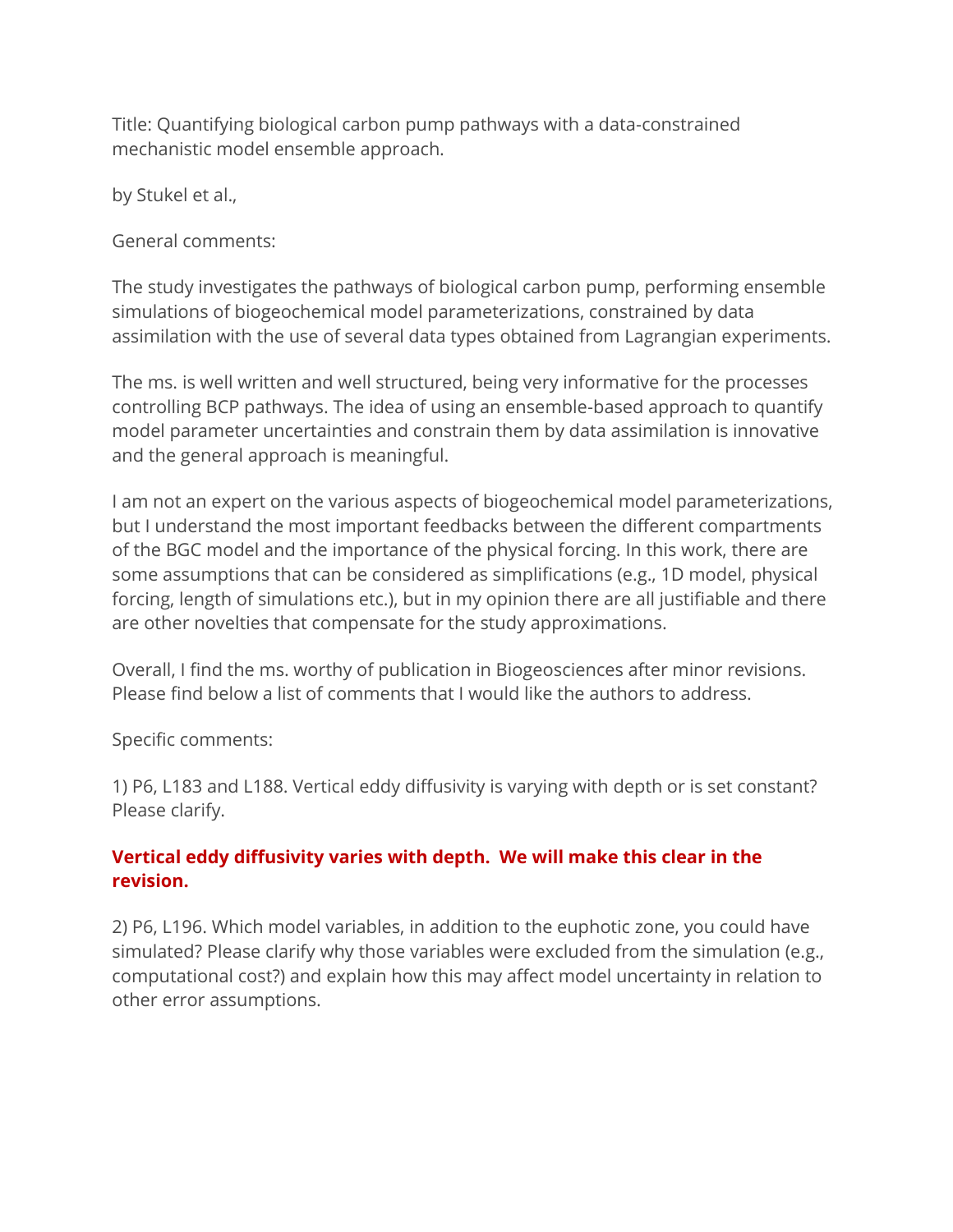Title: Quantifying biological carbon pump pathways with a data-constrained mechanistic model ensemble approach.

by Stukel et al.,

General comments:

The study investigates the pathways of biological carbon pump, performing ensemble simulations of biogeochemical model parameterizations, constrained by data assimilation with the use of several data types obtained from Lagrangian experiments.

The ms. is well written and well structured, being very informative for the processes controlling BCP pathways. The idea of using an ensemble-based approach to quantify model parameter uncertainties and constrain them by data assimilation is innovative and the general approach is meaningful.

I am not an expert on the various aspects of biogeochemical model parameterizations, but I understand the most important feedbacks between the different compartments of the BGC model and the importance of the physical forcing. In this work, there are some assumptions that can be considered as simplifications (e.g., 1D model, physical forcing, length of simulations etc.), but in my opinion there are all justifiable and there are other novelties that compensate for the study approximations.

Overall, I find the ms. worthy of publication in Biogeosciences after minor revisions. Please find below a list of comments that I would like the authors to address.

Specific comments:

1) P6, L183 and L188. Vertical eddy diffusivity is varying with depth or is set constant? Please clarify.

## **Vertical eddy diffusivity varies with depth. We will make this clear in the revision.**

2) P6, L196. Which model variables, in addition to the euphotic zone, you could have simulated? Please clarify why those variables were excluded from the simulation (e.g., computational cost?) and explain how this may affect model uncertainty in relation to other error assumptions.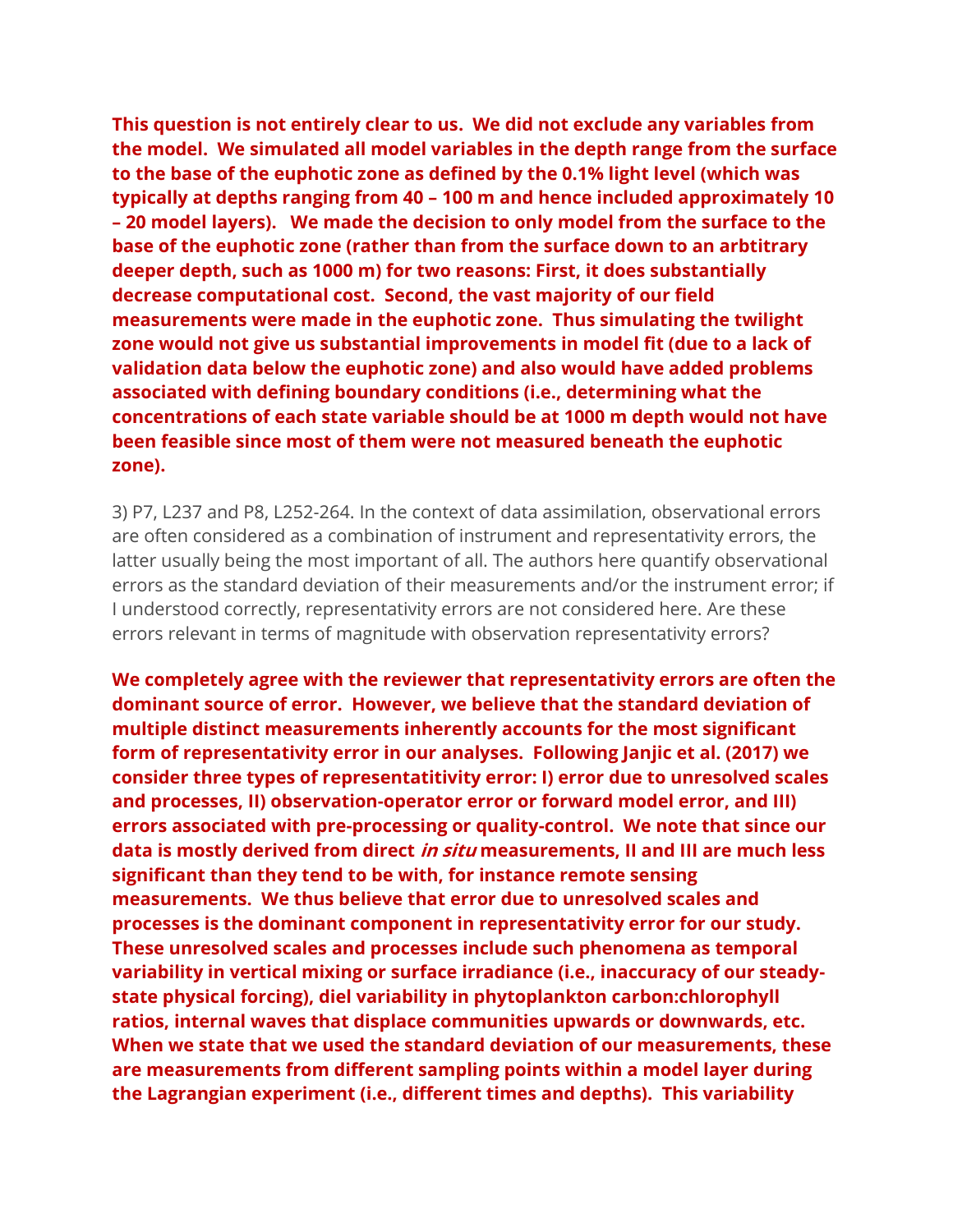**This question is not entirely clear to us. We did not exclude any variables from the model. We simulated all model variables in the depth range from the surface to the base of the euphotic zone as defined by the 0.1% light level (which was typically at depths ranging from 40 – 100 m and hence included approximately 10 – 20 model layers). We made the decision to only model from the surface to the base of the euphotic zone (rather than from the surface down to an arbtitrary deeper depth, such as 1000 m) for two reasons: First, it does substantially decrease computational cost. Second, the vast majority of our field measurements were made in the euphotic zone. Thus simulating the twilight zone would not give us substantial improvements in model fit (due to a lack of validation data below the euphotic zone) and also would have added problems associated with defining boundary conditions (i.e., determining what the concentrations of each state variable should be at 1000 m depth would not have been feasible since most of them were not measured beneath the euphotic zone).**

3) P7, L237 and P8, L252-264. In the context of data assimilation, observational errors are often considered as a combination of instrument and representativity errors, the latter usually being the most important of all. The authors here quantify observational errors as the standard deviation of their measurements and/or the instrument error; if I understood correctly, representativity errors are not considered here. Are these errors relevant in terms of magnitude with observation representativity errors?

**We completely agree with the reviewer that representativity errors are often the dominant source of error. However, we believe that the standard deviation of multiple distinct measurements inherently accounts for the most significant form of representativity error in our analyses. Following Janjic et al. (2017) we consider three types of representatitivity error: I) error due to unresolved scales and processes, II) observation-operator error or forward model error, and III) errors associated with pre-processing or quality-control. We note that since our data is mostly derived from direct in situ measurements, II and III are much less significant than they tend to be with, for instance remote sensing measurements. We thus believe that error due to unresolved scales and processes is the dominant component in representativity error for our study. These unresolved scales and processes include such phenomena as temporal variability in vertical mixing or surface irradiance (i.e., inaccuracy of our steadystate physical forcing), diel variability in phytoplankton carbon:chlorophyll ratios, internal waves that displace communities upwards or downwards, etc. When we state that we used the standard deviation of our measurements, these are measurements from different sampling points within a model layer during the Lagrangian experiment (i.e., different times and depths). This variability**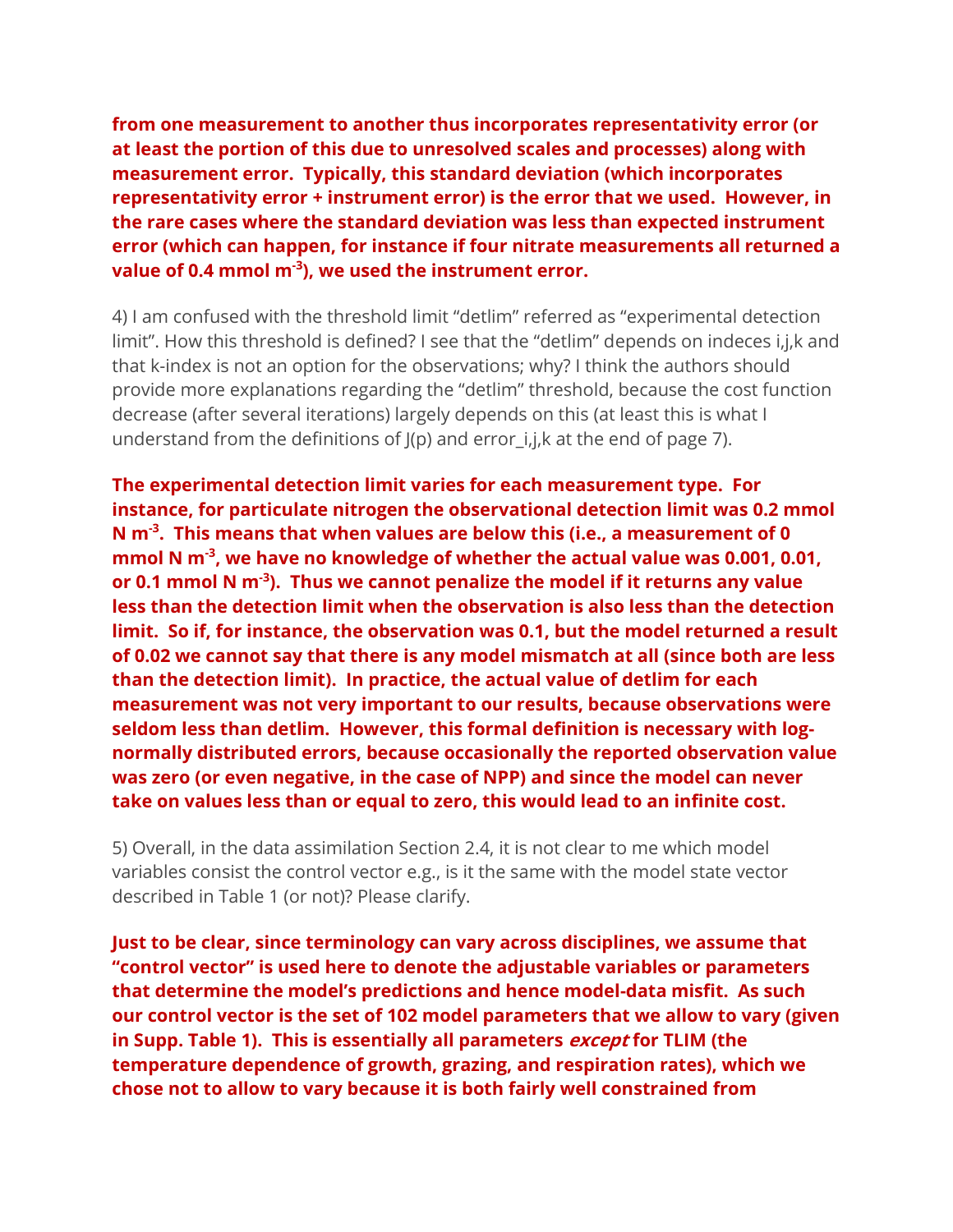**from one measurement to another thus incorporates representativity error (or at least the portion of this due to unresolved scales and processes) along with measurement error. Typically, this standard deviation (which incorporates representativity error + instrument error) is the error that we used. However, in the rare cases where the standard deviation was less than expected instrument error (which can happen, for instance if four nitrate measurements all returned a value of 0.4 mmol m-3 ), we used the instrument error.** 

4) I am confused with the threshold limit "detlim" referred as "experimental detection limit". How this threshold is defined? I see that the "detlim" depends on indeces i,j,k and that k-index is not an option for the observations; why? I think the authors should provide more explanations regarding the "detlim" threshold, because the cost function decrease (after several iterations) largely depends on this (at least this is what I understand from the definitions of  $J(p)$  and error i,j,k at the end of page 7).

**The experimental detection limit varies for each measurement type. For instance, for particulate nitrogen the observational detection limit was 0.2 mmol N m-3 . This means that when values are below this (i.e., a measurement of 0 mmol N m-3 , we have no knowledge of whether the actual value was 0.001, 0.01, or 0.1 mmol N m-3 ). Thus we cannot penalize the model if it returns any value less than the detection limit when the observation is also less than the detection limit. So if, for instance, the observation was 0.1, but the model returned a result of 0.02 we cannot say that there is any model mismatch at all (since both are less than the detection limit). In practice, the actual value of detlim for each measurement was not very important to our results, because observations were seldom less than detlim. However, this formal definition is necessary with lognormally distributed errors, because occasionally the reported observation value was zero (or even negative, in the case of NPP) and since the model can never take on values less than or equal to zero, this would lead to an infinite cost.** 

5) Overall, in the data assimilation Section 2.4, it is not clear to me which model variables consist the control vector e.g., is it the same with the model state vector described in Table 1 (or not)? Please clarify.

**Just to be clear, since terminology can vary across disciplines, we assume that "control vector" is used here to denote the adjustable variables or parameters that determine the model's predictions and hence model-data misfit. As such our control vector is the set of 102 model parameters that we allow to vary (given in Supp. Table 1). This is essentially all parameters except for TLIM (the temperature dependence of growth, grazing, and respiration rates), which we chose not to allow to vary because it is both fairly well constrained from**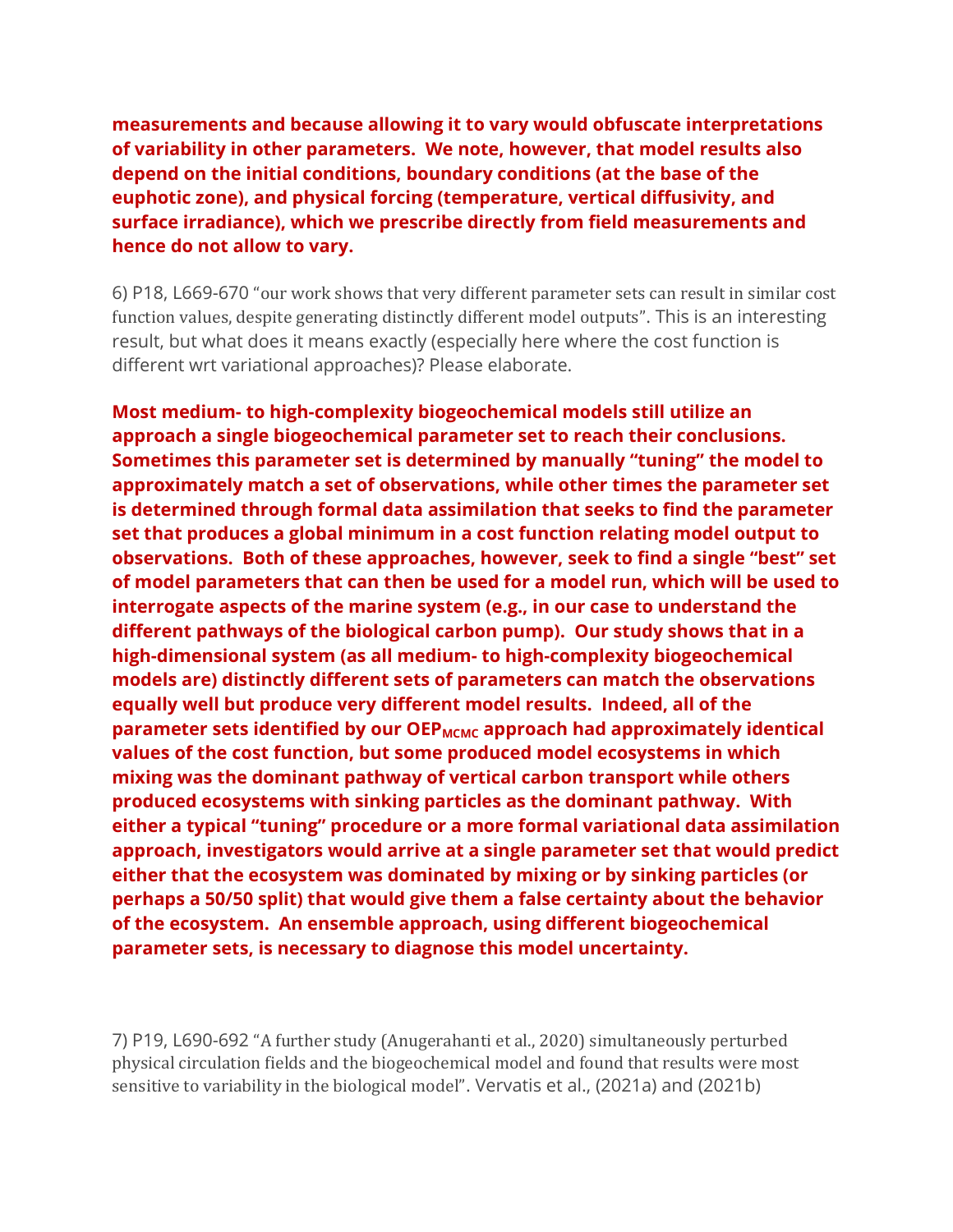**measurements and because allowing it to vary would obfuscate interpretations of variability in other parameters. We note, however, that model results also depend on the initial conditions, boundary conditions (at the base of the euphotic zone), and physical forcing (temperature, vertical diffusivity, and surface irradiance), which we prescribe directly from field measurements and hence do not allow to vary.**

6) P18, L669-670 "our work shows that very different parameter sets can result in similar cost function values, despite generating distinctly different model outputs". This is an interesting result, but what does it means exactly (especially here where the cost function is different wrt variational approaches)? Please elaborate.

**Most medium- to high-complexity biogeochemical models still utilize an approach a single biogeochemical parameter set to reach their conclusions. Sometimes this parameter set is determined by manually "tuning" the model to approximately match a set of observations, while other times the parameter set is determined through formal data assimilation that seeks to find the parameter set that produces a global minimum in a cost function relating model output to observations. Both of these approaches, however, seek to find a single "best" set of model parameters that can then be used for a model run, which will be used to interrogate aspects of the marine system (e.g., in our case to understand the different pathways of the biological carbon pump). Our study shows that in a high-dimensional system (as all medium- to high-complexity biogeochemical models are) distinctly different sets of parameters can match the observations equally well but produce very different model results. Indeed, all of the parameter sets identified by our OEP**<sub>MCMC</sub> approach had approximately identical **values of the cost function, but some produced model ecosystems in which mixing was the dominant pathway of vertical carbon transport while others produced ecosystems with sinking particles as the dominant pathway. With either a typical "tuning" procedure or a more formal variational data assimilation approach, investigators would arrive at a single parameter set that would predict either that the ecosystem was dominated by mixing or by sinking particles (or perhaps a 50/50 split) that would give them a false certainty about the behavior of the ecosystem. An ensemble approach, using different biogeochemical parameter sets, is necessary to diagnose this model uncertainty.** 

7) P19, L690-692 "A further study (Anugerahanti et al., 2020) simultaneously perturbed physical circulation fields and the biogeochemical model and found that results were most sensitive to variability in the biological model". Vervatis et al., (2021a) and (2021b)